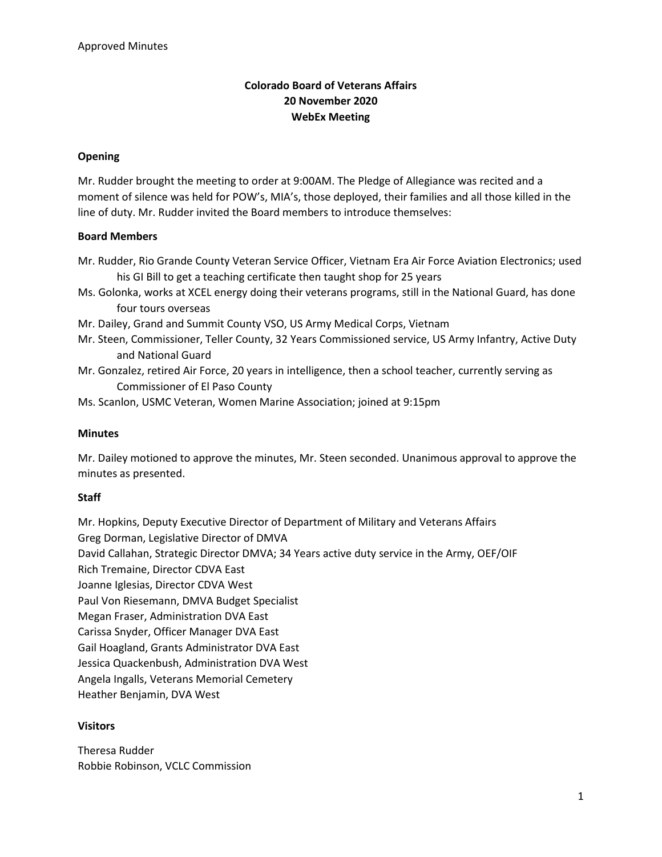# **Colorado Board of Veterans Affairs 20 November 2020 WebEx Meeting**

### **Opening**

Mr. Rudder brought the meeting to order at 9:00AM. The Pledge of Allegiance was recited and a moment of silence was held for POW's, MIA's, those deployed, their families and all those killed in the line of duty. Mr. Rudder invited the Board members to introduce themselves:

#### **Board Members**

- Mr. Rudder, Rio Grande County Veteran Service Officer, Vietnam Era Air Force Aviation Electronics; used his GI Bill to get a teaching certificate then taught shop for 25 years
- Ms. Golonka, works at XCEL energy doing their veterans programs, still in the National Guard, has done four tours overseas
- Mr. Dailey, Grand and Summit County VSO, US Army Medical Corps, Vietnam
- Mr. Steen, Commissioner, Teller County, 32 Years Commissioned service, US Army Infantry, Active Duty and National Guard
- Mr. Gonzalez, retired Air Force, 20 years in intelligence, then a school teacher, currently serving as Commissioner of El Paso County
- Ms. Scanlon, USMC Veteran, Women Marine Association; joined at 9:15pm

#### **Minutes**

Mr. Dailey motioned to approve the minutes, Mr. Steen seconded. Unanimous approval to approve the minutes as presented.

#### **Staff**

Mr. Hopkins, Deputy Executive Director of Department of Military and Veterans Affairs Greg Dorman, Legislative Director of DMVA David Callahan, Strategic Director DMVA; 34 Years active duty service in the Army, OEF/OIF Rich Tremaine, Director CDVA East Joanne Iglesias, Director CDVA West Paul Von Riesemann, DMVA Budget Specialist Megan Fraser, Administration DVA East Carissa Snyder, Officer Manager DVA East Gail Hoagland, Grants Administrator DVA East Jessica Quackenbush, Administration DVA West Angela Ingalls, Veterans Memorial Cemetery Heather Benjamin, DVA West

## **Visitors**

Theresa Rudder Robbie Robinson, VCLC Commission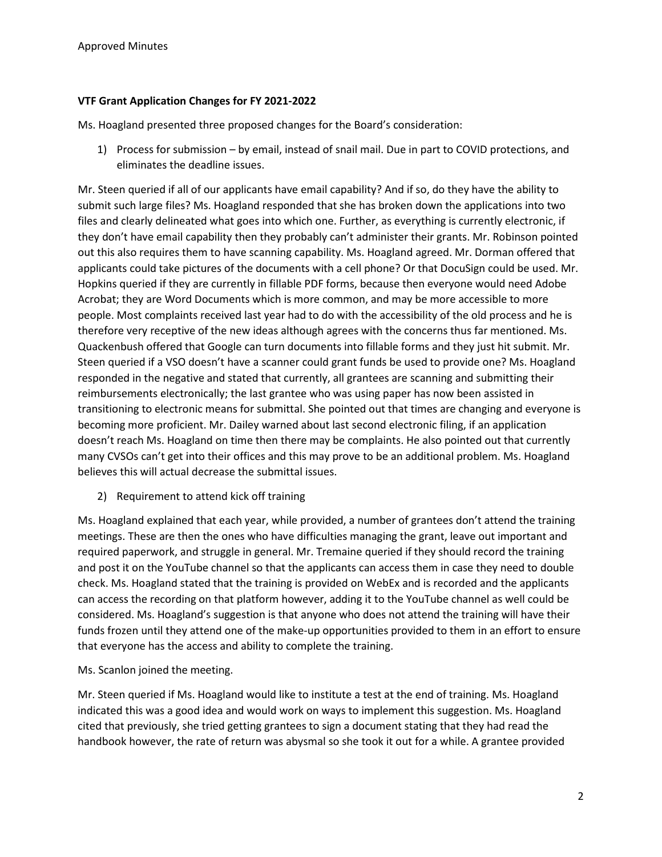## **VTF Grant Application Changes for FY 2021-2022**

Ms. Hoagland presented three proposed changes for the Board's consideration:

1) Process for submission – by email, instead of snail mail. Due in part to COVID protections, and eliminates the deadline issues.

Mr. Steen queried if all of our applicants have email capability? And if so, do they have the ability to submit such large files? Ms. Hoagland responded that she has broken down the applications into two files and clearly delineated what goes into which one. Further, as everything is currently electronic, if they don't have email capability then they probably can't administer their grants. Mr. Robinson pointed out this also requires them to have scanning capability. Ms. Hoagland agreed. Mr. Dorman offered that applicants could take pictures of the documents with a cell phone? Or that DocuSign could be used. Mr. Hopkins queried if they are currently in fillable PDF forms, because then everyone would need Adobe Acrobat; they are Word Documents which is more common, and may be more accessible to more people. Most complaints received last year had to do with the accessibility of the old process and he is therefore very receptive of the new ideas although agrees with the concerns thus far mentioned. Ms. Quackenbush offered that Google can turn documents into fillable forms and they just hit submit. Mr. Steen queried if a VSO doesn't have a scanner could grant funds be used to provide one? Ms. Hoagland responded in the negative and stated that currently, all grantees are scanning and submitting their reimbursements electronically; the last grantee who was using paper has now been assisted in transitioning to electronic means for submittal. She pointed out that times are changing and everyone is becoming more proficient. Mr. Dailey warned about last second electronic filing, if an application doesn't reach Ms. Hoagland on time then there may be complaints. He also pointed out that currently many CVSOs can't get into their offices and this may prove to be an additional problem. Ms. Hoagland believes this will actual decrease the submittal issues.

2) Requirement to attend kick off training

Ms. Hoagland explained that each year, while provided, a number of grantees don't attend the training meetings. These are then the ones who have difficulties managing the grant, leave out important and required paperwork, and struggle in general. Mr. Tremaine queried if they should record the training and post it on the YouTube channel so that the applicants can access them in case they need to double check. Ms. Hoagland stated that the training is provided on WebEx and is recorded and the applicants can access the recording on that platform however, adding it to the YouTube channel as well could be considered. Ms. Hoagland's suggestion is that anyone who does not attend the training will have their funds frozen until they attend one of the make-up opportunities provided to them in an effort to ensure that everyone has the access and ability to complete the training.

Ms. Scanlon joined the meeting.

Mr. Steen queried if Ms. Hoagland would like to institute a test at the end of training. Ms. Hoagland indicated this was a good idea and would work on ways to implement this suggestion. Ms. Hoagland cited that previously, she tried getting grantees to sign a document stating that they had read the handbook however, the rate of return was abysmal so she took it out for a while. A grantee provided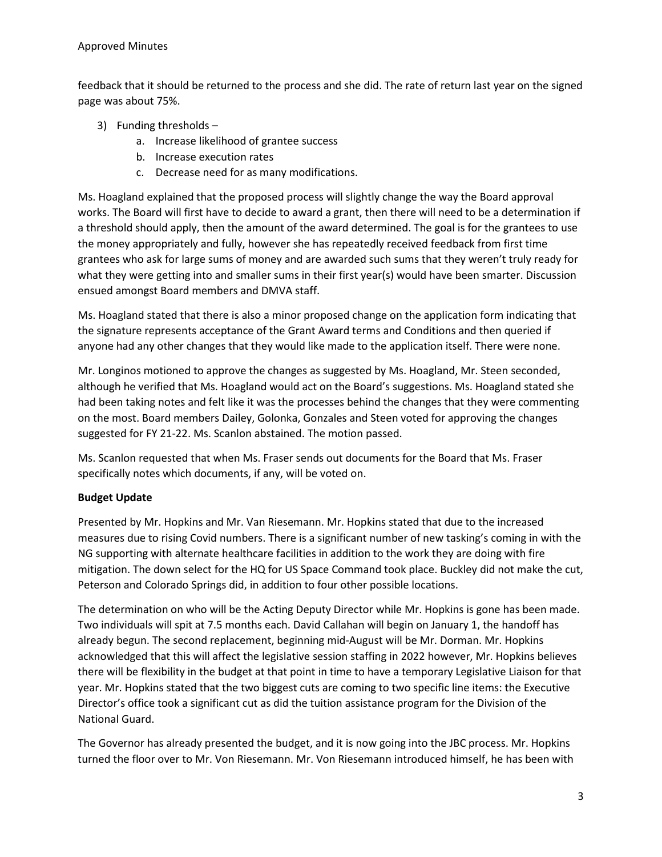### Approved Minutes

feedback that it should be returned to the process and she did. The rate of return last year on the signed page was about 75%.

- 3) Funding thresholds
	- a. Increase likelihood of grantee success
	- b. Increase execution rates
	- c. Decrease need for as many modifications.

Ms. Hoagland explained that the proposed process will slightly change the way the Board approval works. The Board will first have to decide to award a grant, then there will need to be a determination if a threshold should apply, then the amount of the award determined. The goal is for the grantees to use the money appropriately and fully, however she has repeatedly received feedback from first time grantees who ask for large sums of money and are awarded such sums that they weren't truly ready for what they were getting into and smaller sums in their first year(s) would have been smarter. Discussion ensued amongst Board members and DMVA staff.

Ms. Hoagland stated that there is also a minor proposed change on the application form indicating that the signature represents acceptance of the Grant Award terms and Conditions and then queried if anyone had any other changes that they would like made to the application itself. There were none.

Mr. Longinos motioned to approve the changes as suggested by Ms. Hoagland, Mr. Steen seconded, although he verified that Ms. Hoagland would act on the Board's suggestions. Ms. Hoagland stated she had been taking notes and felt like it was the processes behind the changes that they were commenting on the most. Board members Dailey, Golonka, Gonzales and Steen voted for approving the changes suggested for FY 21-22. Ms. Scanlon abstained. The motion passed.

Ms. Scanlon requested that when Ms. Fraser sends out documents for the Board that Ms. Fraser specifically notes which documents, if any, will be voted on.

## **Budget Update**

Presented by Mr. Hopkins and Mr. Van Riesemann. Mr. Hopkins stated that due to the increased measures due to rising Covid numbers. There is a significant number of new tasking's coming in with the NG supporting with alternate healthcare facilities in addition to the work they are doing with fire mitigation. The down select for the HQ for US Space Command took place. Buckley did not make the cut, Peterson and Colorado Springs did, in addition to four other possible locations.

The determination on who will be the Acting Deputy Director while Mr. Hopkins is gone has been made. Two individuals will spit at 7.5 months each. David Callahan will begin on January 1, the handoff has already begun. The second replacement, beginning mid-August will be Mr. Dorman. Mr. Hopkins acknowledged that this will affect the legislative session staffing in 2022 however, Mr. Hopkins believes there will be flexibility in the budget at that point in time to have a temporary Legislative Liaison for that year. Mr. Hopkins stated that the two biggest cuts are coming to two specific line items: the Executive Director's office took a significant cut as did the tuition assistance program for the Division of the National Guard.

The Governor has already presented the budget, and it is now going into the JBC process. Mr. Hopkins turned the floor over to Mr. Von Riesemann. Mr. Von Riesemann introduced himself, he has been with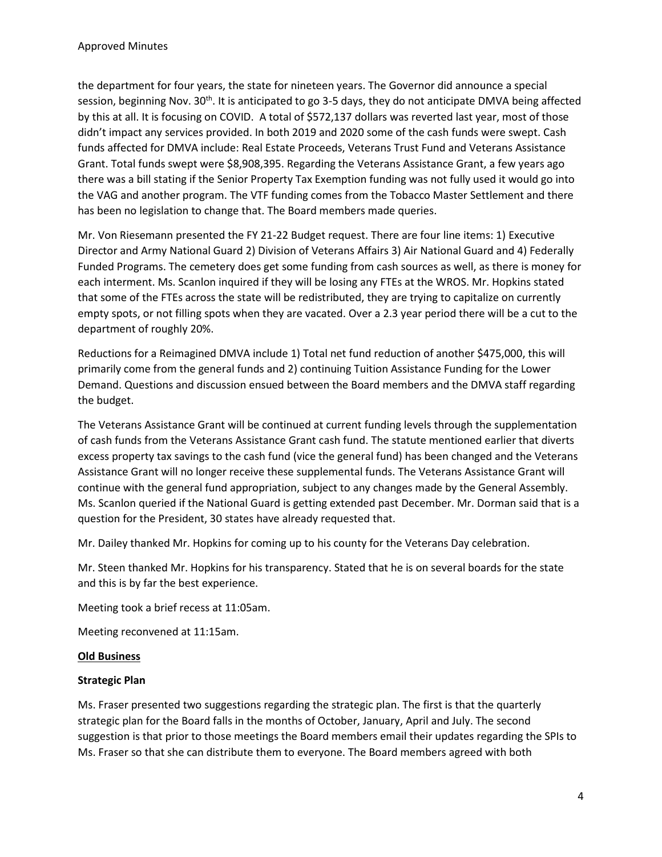the department for four years, the state for nineteen years. The Governor did announce a special session, beginning Nov. 30<sup>th</sup>. It is anticipated to go 3-5 days, they do not anticipate DMVA being affected by this at all. It is focusing on COVID. A total of \$572,137 dollars was reverted last year, most of those didn't impact any services provided. In both 2019 and 2020 some of the cash funds were swept. Cash funds affected for DMVA include: Real Estate Proceeds, Veterans Trust Fund and Veterans Assistance Grant. Total funds swept were \$8,908,395. Regarding the Veterans Assistance Grant, a few years ago there was a bill stating if the Senior Property Tax Exemption funding was not fully used it would go into the VAG and another program. The VTF funding comes from the Tobacco Master Settlement and there has been no legislation to change that. The Board members made queries.

Mr. Von Riesemann presented the FY 21-22 Budget request. There are four line items: 1) Executive Director and Army National Guard 2) Division of Veterans Affairs 3) Air National Guard and 4) Federally Funded Programs. The cemetery does get some funding from cash sources as well, as there is money for each interment. Ms. Scanlon inquired if they will be losing any FTEs at the WROS. Mr. Hopkins stated that some of the FTEs across the state will be redistributed, they are trying to capitalize on currently empty spots, or not filling spots when they are vacated. Over a 2.3 year period there will be a cut to the department of roughly 20%.

Reductions for a Reimagined DMVA include 1) Total net fund reduction of another \$475,000, this will primarily come from the general funds and 2) continuing Tuition Assistance Funding for the Lower Demand. Questions and discussion ensued between the Board members and the DMVA staff regarding the budget.

The Veterans Assistance Grant will be continued at current funding levels through the supplementation of cash funds from the Veterans Assistance Grant cash fund. The statute mentioned earlier that diverts excess property tax savings to the cash fund (vice the general fund) has been changed and the Veterans Assistance Grant will no longer receive these supplemental funds. The Veterans Assistance Grant will continue with the general fund appropriation, subject to any changes made by the General Assembly. Ms. Scanlon queried if the National Guard is getting extended past December. Mr. Dorman said that is a question for the President, 30 states have already requested that.

Mr. Dailey thanked Mr. Hopkins for coming up to his county for the Veterans Day celebration.

Mr. Steen thanked Mr. Hopkins for his transparency. Stated that he is on several boards for the state and this is by far the best experience.

Meeting took a brief recess at 11:05am.

Meeting reconvened at 11:15am.

#### **Old Business**

#### **Strategic Plan**

Ms. Fraser presented two suggestions regarding the strategic plan. The first is that the quarterly strategic plan for the Board falls in the months of October, January, April and July. The second suggestion is that prior to those meetings the Board members email their updates regarding the SPIs to Ms. Fraser so that she can distribute them to everyone. The Board members agreed with both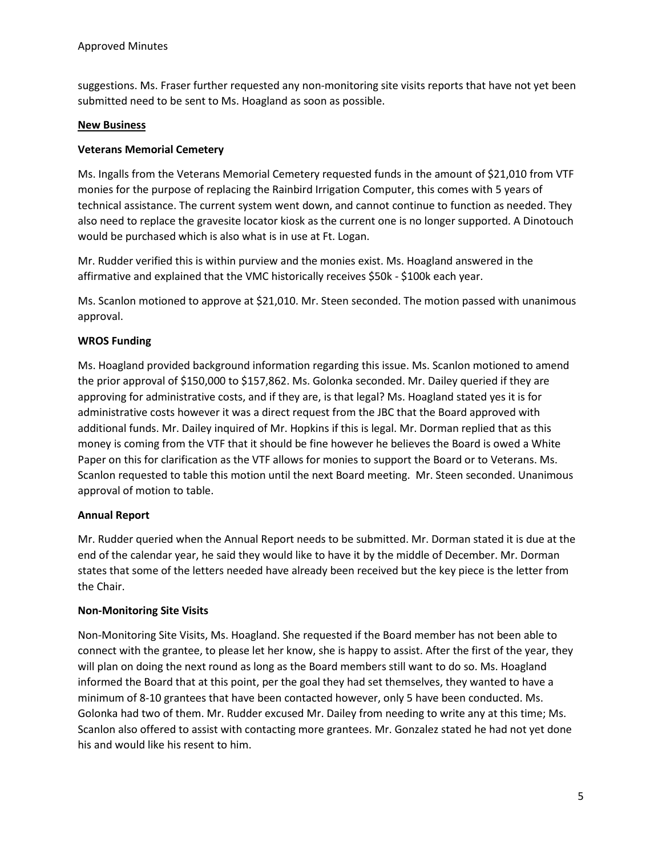suggestions. Ms. Fraser further requested any non-monitoring site visits reports that have not yet been submitted need to be sent to Ms. Hoagland as soon as possible.

#### **New Business**

#### **Veterans Memorial Cemetery**

Ms. Ingalls from the Veterans Memorial Cemetery requested funds in the amount of \$21,010 from VTF monies for the purpose of replacing the Rainbird Irrigation Computer, this comes with 5 years of technical assistance. The current system went down, and cannot continue to function as needed. They also need to replace the gravesite locator kiosk as the current one is no longer supported. A Dinotouch would be purchased which is also what is in use at Ft. Logan.

Mr. Rudder verified this is within purview and the monies exist. Ms. Hoagland answered in the affirmative and explained that the VMC historically receives \$50k - \$100k each year.

Ms. Scanlon motioned to approve at \$21,010. Mr. Steen seconded. The motion passed with unanimous approval.

### **WROS Funding**

Ms. Hoagland provided background information regarding this issue. Ms. Scanlon motioned to amend the prior approval of \$150,000 to \$157,862. Ms. Golonka seconded. Mr. Dailey queried if they are approving for administrative costs, and if they are, is that legal? Ms. Hoagland stated yes it is for administrative costs however it was a direct request from the JBC that the Board approved with additional funds. Mr. Dailey inquired of Mr. Hopkins if this is legal. Mr. Dorman replied that as this money is coming from the VTF that it should be fine however he believes the Board is owed a White Paper on this for clarification as the VTF allows for monies to support the Board or to Veterans. Ms. Scanlon requested to table this motion until the next Board meeting. Mr. Steen seconded. Unanimous approval of motion to table.

#### **Annual Report**

Mr. Rudder queried when the Annual Report needs to be submitted. Mr. Dorman stated it is due at the end of the calendar year, he said they would like to have it by the middle of December. Mr. Dorman states that some of the letters needed have already been received but the key piece is the letter from the Chair.

#### **Non-Monitoring Site Visits**

Non-Monitoring Site Visits, Ms. Hoagland. She requested if the Board member has not been able to connect with the grantee, to please let her know, she is happy to assist. After the first of the year, they will plan on doing the next round as long as the Board members still want to do so. Ms. Hoagland informed the Board that at this point, per the goal they had set themselves, they wanted to have a minimum of 8-10 grantees that have been contacted however, only 5 have been conducted. Ms. Golonka had two of them. Mr. Rudder excused Mr. Dailey from needing to write any at this time; Ms. Scanlon also offered to assist with contacting more grantees. Mr. Gonzalez stated he had not yet done his and would like his resent to him.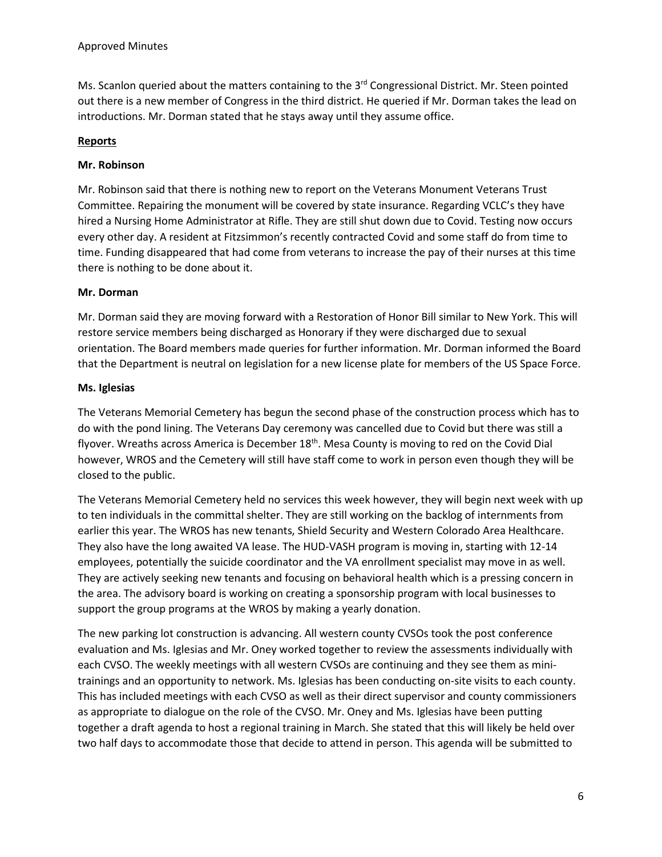Ms. Scanlon queried about the matters containing to the  $3<sup>rd</sup>$  Congressional District. Mr. Steen pointed out there is a new member of Congress in the third district. He queried if Mr. Dorman takes the lead on introductions. Mr. Dorman stated that he stays away until they assume office.

### **Reports**

### **Mr. Robinson**

Mr. Robinson said that there is nothing new to report on the Veterans Monument Veterans Trust Committee. Repairing the monument will be covered by state insurance. Regarding VCLC's they have hired a Nursing Home Administrator at Rifle. They are still shut down due to Covid. Testing now occurs every other day. A resident at Fitzsimmon's recently contracted Covid and some staff do from time to time. Funding disappeared that had come from veterans to increase the pay of their nurses at this time there is nothing to be done about it.

### **Mr. Dorman**

Mr. Dorman said they are moving forward with a Restoration of Honor Bill similar to New York. This will restore service members being discharged as Honorary if they were discharged due to sexual orientation. The Board members made queries for further information. Mr. Dorman informed the Board that the Department is neutral on legislation for a new license plate for members of the US Space Force.

### **Ms. Iglesias**

The Veterans Memorial Cemetery has begun the second phase of the construction process which has to do with the pond lining. The Veterans Day ceremony was cancelled due to Covid but there was still a flyover. Wreaths across America is December 18<sup>th</sup>. Mesa County is moving to red on the Covid Dial however, WROS and the Cemetery will still have staff come to work in person even though they will be closed to the public.

The Veterans Memorial Cemetery held no services this week however, they will begin next week with up to ten individuals in the committal shelter. They are still working on the backlog of internments from earlier this year. The WROS has new tenants, Shield Security and Western Colorado Area Healthcare. They also have the long awaited VA lease. The HUD-VASH program is moving in, starting with 12-14 employees, potentially the suicide coordinator and the VA enrollment specialist may move in as well. They are actively seeking new tenants and focusing on behavioral health which is a pressing concern in the area. The advisory board is working on creating a sponsorship program with local businesses to support the group programs at the WROS by making a yearly donation.

The new parking lot construction is advancing. All western county CVSOs took the post conference evaluation and Ms. Iglesias and Mr. Oney worked together to review the assessments individually with each CVSO. The weekly meetings with all western CVSOs are continuing and they see them as minitrainings and an opportunity to network. Ms. Iglesias has been conducting on-site visits to each county. This has included meetings with each CVSO as well as their direct supervisor and county commissioners as appropriate to dialogue on the role of the CVSO. Mr. Oney and Ms. Iglesias have been putting together a draft agenda to host a regional training in March. She stated that this will likely be held over two half days to accommodate those that decide to attend in person. This agenda will be submitted to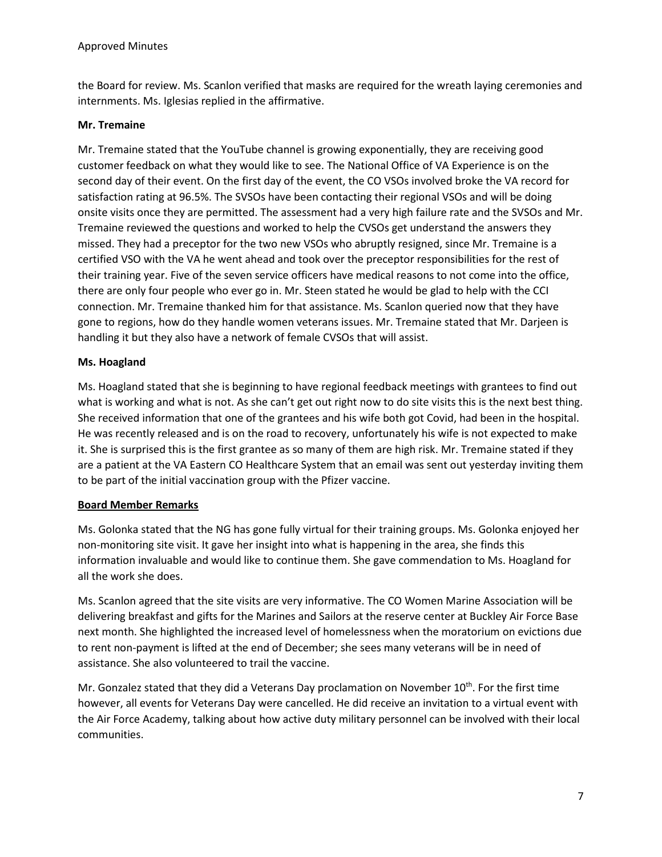the Board for review. Ms. Scanlon verified that masks are required for the wreath laying ceremonies and internments. Ms. Iglesias replied in the affirmative.

### **Mr. Tremaine**

Mr. Tremaine stated that the YouTube channel is growing exponentially, they are receiving good customer feedback on what they would like to see. The National Office of VA Experience is on the second day of their event. On the first day of the event, the CO VSOs involved broke the VA record for satisfaction rating at 96.5%. The SVSOs have been contacting their regional VSOs and will be doing onsite visits once they are permitted. The assessment had a very high failure rate and the SVSOs and Mr. Tremaine reviewed the questions and worked to help the CVSOs get understand the answers they missed. They had a preceptor for the two new VSOs who abruptly resigned, since Mr. Tremaine is a certified VSO with the VA he went ahead and took over the preceptor responsibilities for the rest of their training year. Five of the seven service officers have medical reasons to not come into the office, there are only four people who ever go in. Mr. Steen stated he would be glad to help with the CCI connection. Mr. Tremaine thanked him for that assistance. Ms. Scanlon queried now that they have gone to regions, how do they handle women veterans issues. Mr. Tremaine stated that Mr. Darjeen is handling it but they also have a network of female CVSOs that will assist.

### **Ms. Hoagland**

Ms. Hoagland stated that she is beginning to have regional feedback meetings with grantees to find out what is working and what is not. As she can't get out right now to do site visits this is the next best thing. She received information that one of the grantees and his wife both got Covid, had been in the hospital. He was recently released and is on the road to recovery, unfortunately his wife is not expected to make it. She is surprised this is the first grantee as so many of them are high risk. Mr. Tremaine stated if they are a patient at the VA Eastern CO Healthcare System that an email was sent out yesterday inviting them to be part of the initial vaccination group with the Pfizer vaccine.

#### **Board Member Remarks**

Ms. Golonka stated that the NG has gone fully virtual for their training groups. Ms. Golonka enjoyed her non-monitoring site visit. It gave her insight into what is happening in the area, she finds this information invaluable and would like to continue them. She gave commendation to Ms. Hoagland for all the work she does.

Ms. Scanlon agreed that the site visits are very informative. The CO Women Marine Association will be delivering breakfast and gifts for the Marines and Sailors at the reserve center at Buckley Air Force Base next month. She highlighted the increased level of homelessness when the moratorium on evictions due to rent non-payment is lifted at the end of December; she sees many veterans will be in need of assistance. She also volunteered to trail the vaccine.

Mr. Gonzalez stated that they did a Veterans Day proclamation on November 10<sup>th</sup>. For the first time however, all events for Veterans Day were cancelled. He did receive an invitation to a virtual event with the Air Force Academy, talking about how active duty military personnel can be involved with their local communities.